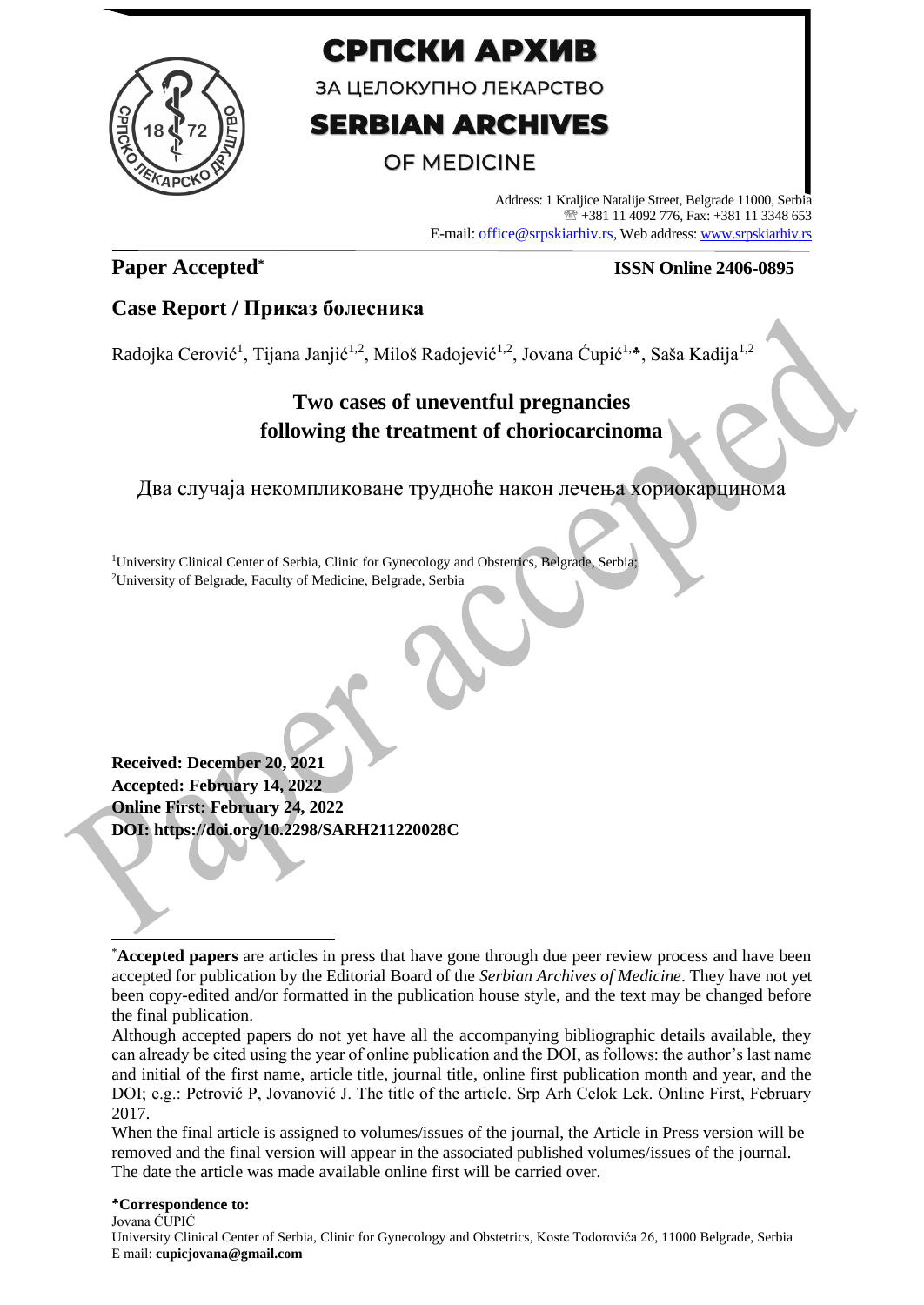

# СРПСКИ АРХИВ

ЗА ЦЕЛОКУПНО ЛЕКАРСТВО

# **SERBIAN ARCHIVES**

# **OF MEDICINE**

Address: 1 Kraljice Natalije Street, Belgrade 11000, Serbia +381 11 4092 776, Fax: +381 11 3348 653 E-mail: office@srpskiarhiv.rs, Web address[: www.srpskiarhiv.rs](http://www.srpskiarhiv.rs/)

# **Paper Accepted\***

## **ISSN Online 2406-0895**

# **Case Report / Приказ болесника**

Radojka Cerović<sup>1</sup>, Tijana Janjić<sup>1,2</sup>, Miloš Radojević<sup>1,2</sup>, Jovana Ćupić<sup>1,4</sup>, Saša Kadija<sup>1,2</sup>

# **Two cases of uneventful pregnancies following the treatment of choriocarcinoma**

Два случаја некомпликоване трудноће након лечења хориокарцинома

<sup>1</sup>University Clinical Center of Serbia, Clinic for Gynecology and Obstetrics, Belgrade, Serbia; <sup>2</sup>University of Belgrade, Faculty of Medicine, Belgrade, Serbia

**Received: December 20, 2021 Accepted: February 14, 2022 Online First: February 24, 2022 DOI: https://doi.org/10.2298/SARH211220028C**

### **Correspondence to:**

Jovana ĆUPIĆ University Clinical Center of Serbia, Clinic for Gynecology and Obstetrics, Koste Todorovića 26, 11000 Belgrade, Serbia E mail: **cupicjovana@gmail.com**

<sup>\*</sup>**Accepted papers** are articles in press that have gone through due peer review process and have been accepted for publication by the Editorial Board of the *Serbian Archives of Medicine*. They have not yet been copy-edited and/or formatted in the publication house style, and the text may be changed before the final publication.

Although accepted papers do not yet have all the accompanying bibliographic details available, they can already be cited using the year of online publication and the DOI, as follows: the author's last name and initial of the first name, article title, journal title, online first publication month and year, and the DOI; e.g.: Petrović P, Jovanović J. The title of the article. Srp Arh Celok Lek. Online First, February 2017.

When the final article is assigned to volumes/issues of the journal, the Article in Press version will be removed and the final version will appear in the associated published volumes/issues of the journal. The date the article was made available online first will be carried over.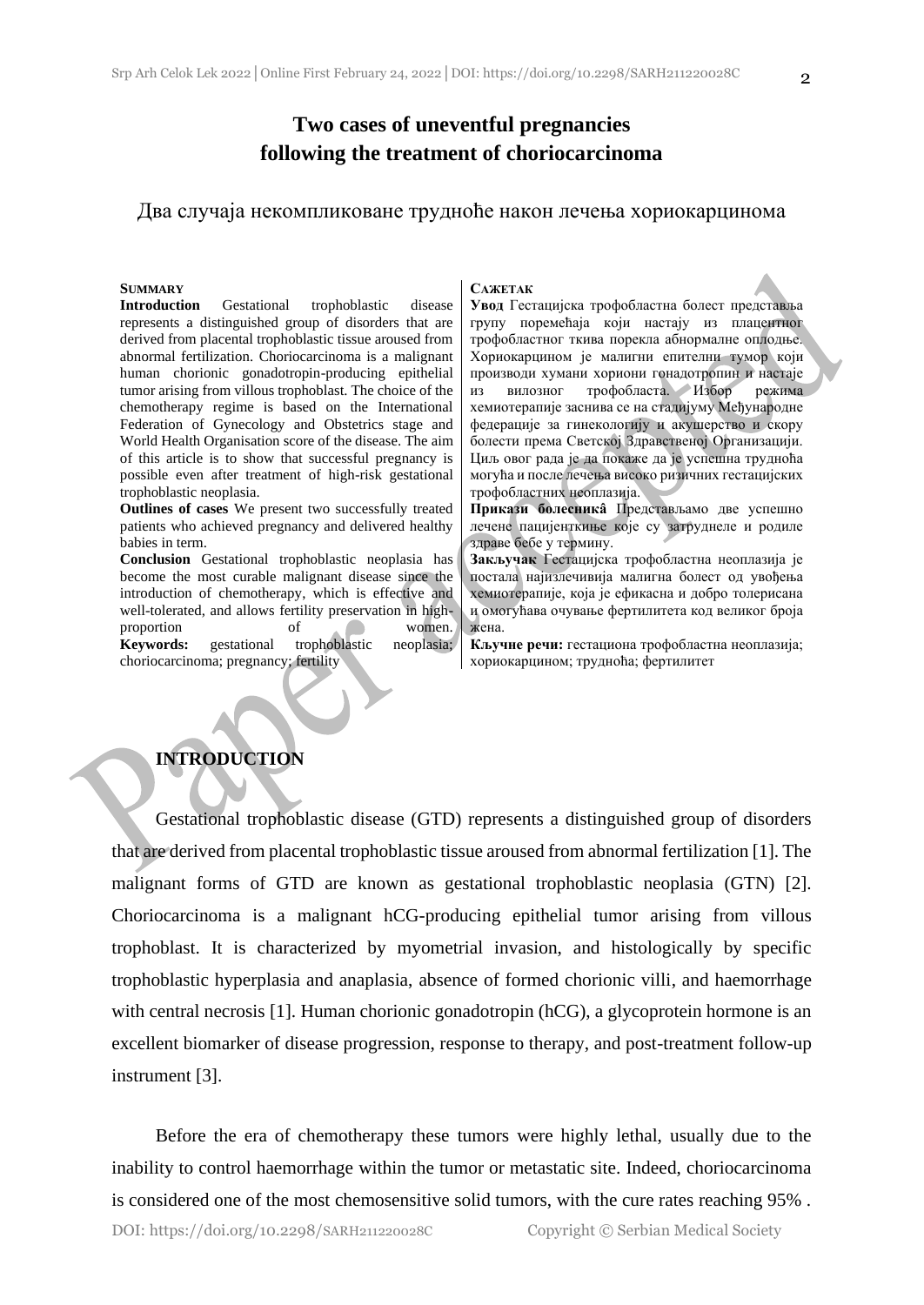## **Two cases of uneventful pregnancies following the treatment of choriocarcinoma**

### Два случаја некомпликоване трудноће након лечења хориокарцинома

#### **SUMMARY**

**Introduction** Gestational trophoblastic disease represents a distinguished group of disorders that are derived from placental trophoblastic tissue aroused from abnormal fertilization. Choriocarcinoma is a malignant human chorionic gonadotropin-producing epithelial tumor arising from villous trophoblast. The choice of the chemotherapy regime is based on the International Federation of Gynecology and Obstetrics stage and World Health Organisation score of the disease. The aim of this article is to show that successful pregnancy is possible even after treatment of high-risk gestational trophoblastic neoplasia.

**Outlines of cases** We present two successfully treated patients who achieved pregnancy and delivered healthy babies in term.

**Conclusion** Gestational trophoblastic neoplasia has become the most curable malignant disease since the introduction of chemotherapy, which is effective and well-tolerated, and allows fertility preservation in highproportion of women.

**Keywords:** gestational trophoblastic neoplasia; choriocarcinoma; pregnancy; fertility

#### **САЖЕТАК**

**Увод** Гестацијска трофобластна болест представља групу поремећаја који настају из плацентног трофобластног ткива порекла абнормалне оплодње. Хориокарцином је малигни епителни тумор који производи хумани хориони гонадотропин и настаје из вилозног трофобласта. Избор режима хемиотерапије заснива се на стадијуму Међународне федерације за гинекологију и акушерство и скору болести према Светској Здравственој Организацији. Циљ овог рада је да покаже да је успешна трудноћа могућа и после лечења високо ризичних гестацијских трофобластних неоплазија.

**Прикази болесникâ** Представљамо две успешно лечене пацијенткиње које су затруднеле и родиле здраве бебе у термину.

**Закључак** Гестацијска трофобластна неоплазија је постала најизлечивија малигна болест од увођења хемиотерапије, која је ефикасна и добро толерисана и омогућава очување фертилитета код великог броја жена.

**Кључне речи:** гестациона трофобластна неоплазија; хориокарцином; трудноћа; фертилитет

### **INTRODUCTION**

Gestational trophoblastic disease (GTD) represents a distinguished group of disorders that are derived from placental trophoblastic tissue aroused from abnormal fertilization [1]. The malignant forms of GTD are known as gestational trophoblastic neoplasia (GTN) [2]. Choriocarcinoma is a malignant hCG-producing epithelial tumor arising from villous trophoblast. It is characterized by myometrial invasion, and histologically by specific trophoblastic hyperplasia and anaplasia, absence of formed chorionic villi, and haemorrhage with central necrosis [1]. Human chorionic gonadotropin (hCG), a glycoprotein hormone is an excellent biomarker of disease progression, response to therapy, and post-treatment follow-up instrument [3].

Before the era of chemotherapy these tumors were highly lethal, usually due to the inability to control haemorrhage within the tumor or metastatic site. Indeed, choriocarcinoma is considered one of the most chemosensitive solid tumors, with the cure rates reaching 95% .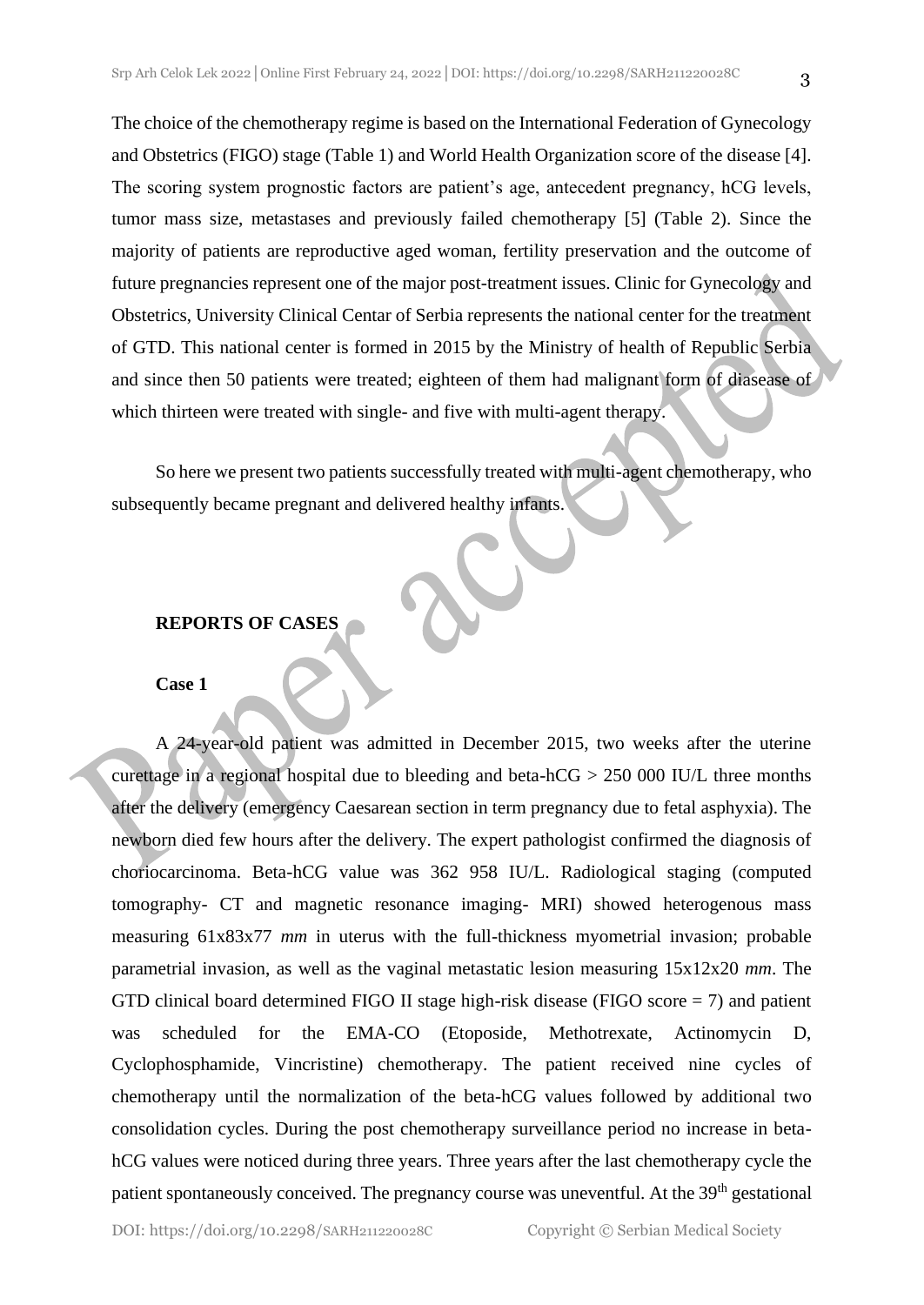The choice of the chemotherapy regime is based on the International Federation of Gynecology and Obstetrics (FIGO) stage (Table 1) and World Health Organization score of the disease [4]. The scoring system prognostic factors are patient's age, antecedent pregnancy, hCG levels, tumor mass size, metastases and previously failed chemotherapy [5] (Table 2). Since the majority of patients are reproductive aged woman, fertility preservation and the outcome of future pregnancies represent one of the major post-treatment issues. Clinic for Gynecology and Obstetrics, University Clinical Centar of Serbia represents the national center for the treatment of GTD. This national center is formed in 2015 by the Ministry of health of Republic Serbia and since then 50 patients were treated; eighteen of them had malignant form of diasease of which thirteen were treated with single- and five with multi-agent therapy.

So here we present two patients successfully treated with multi-agent chemotherapy, who subsequently became pregnant and delivered healthy infants.

### **REPORTS OF CASES**

#### **Case 1**

A 24-year-old patient was admitted in December 2015, two weeks after the uterine curettage in a regional hospital due to bleeding and beta-hCG > 250 000 IU/L three months after the delivery (emergency Caesarean section in term pregnancy due to fetal asphyxia). The newborn died few hours after the delivery. The expert pathologist confirmed the diagnosis of choriocarcinoma. Beta-hCG value was 362 958 IU/L. Radiological staging (computed tomography- CT and magnetic resonance imaging- MRI) showed heterogenous mass measuring 61x83x77 *mm* in uterus with the full-thickness myometrial invasion; probable parametrial invasion, as well as the vaginal metastatic lesion measuring 15x12x20 *mm*. The GTD clinical board determined FIGO II stage high-risk disease (FIGO score  $= 7$ ) and patient was scheduled for the EMA-CO (Etoposide, Methotrexate, Actinomycin D, Cyclophosphamide, Vincristine) chemotherapy. The patient received nine cycles of chemotherapy until the normalization of the beta-hCG values followed by additional two consolidation cycles. During the post chemotherapy surveillance period no increase in betahCG values were noticed during three years. Three years after the last chemotherapy cycle the patient spontaneously conceived. The pregnancy course was uneventful. At the 39<sup>th</sup> gestational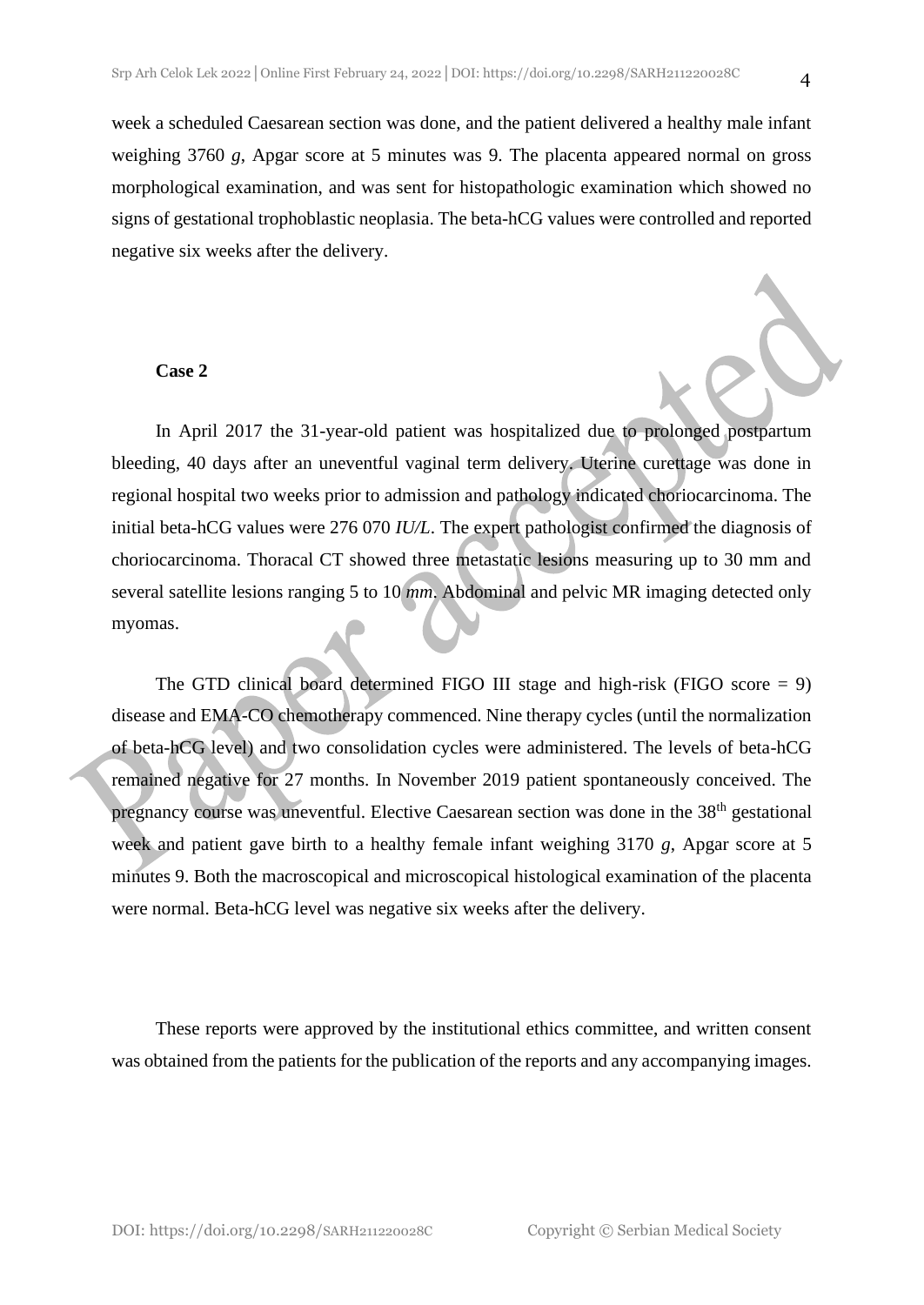week a scheduled Caesarean section was done, and the patient delivered a healthy male infant weighing 3760 *g*, Apgar score at 5 minutes was 9. The placenta appeared normal on gross morphological examination, and was sent for histopathologic examination which showed no signs of gestational trophoblastic neoplasia. The beta-hCG values were controlled and reported negative six weeks after the delivery.

#### **Case 2**

In April 2017 the 31-year-old patient was hospitalized due to prolonged postpartum bleeding, 40 days after an uneventful vaginal term delivery. Uterine curettage was done in regional hospital two weeks prior to admission and pathology indicated choriocarcinoma. The initial beta-hCG values were 276 070 *IU/L*. The expert pathologist confirmed the diagnosis of choriocarcinoma. Thoracal CT showed three metastatic lesions measuring up to 30 mm and several satellite lesions ranging 5 to 10 *mm*. Abdominal and pelvic MR imaging detected only myomas.

The GTD clinical board determined FIGO III stage and high-risk (FIGO score = 9) disease and EMA-CO chemotherapy commenced. Nine therapy cycles (until the normalization of beta-hCG level) and two consolidation cycles were administered. The levels of beta-hCG remained negative for 27 months. In November 2019 patient spontaneously conceived. The pregnancy course was uneventful. Elective Caesarean section was done in the 38<sup>th</sup> gestational week and patient gave birth to a healthy female infant weighing 3170 *g*, Apgar score at 5 minutes 9. Both the macroscopical and microscopical histological examination of the placenta were normal. Beta-hCG level was negative six weeks after the delivery.

These reports were approved by the institutional ethics committee, and written consent was obtained from the patients for the publication of the reports and any accompanying images.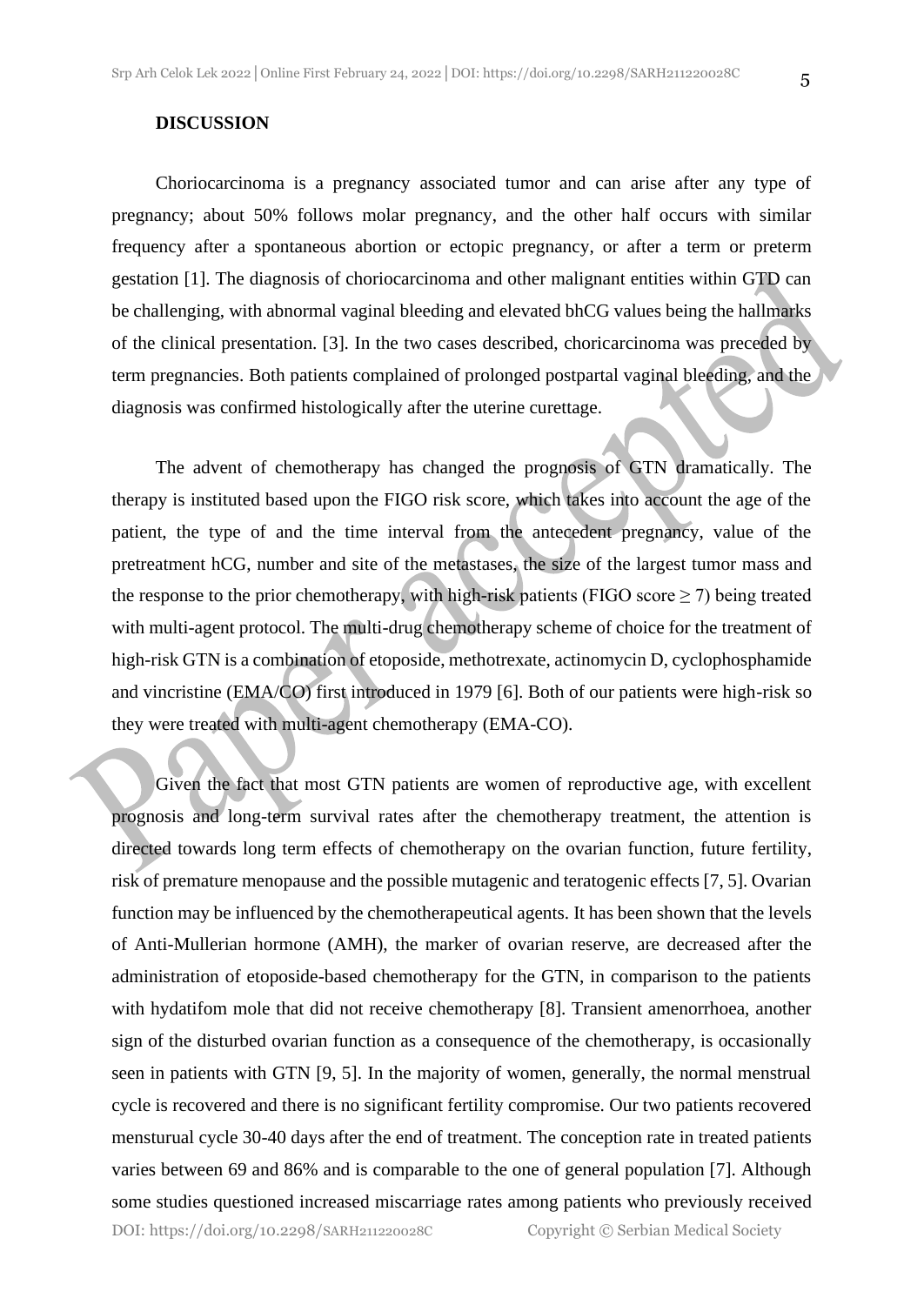#### **DISCUSSION**

Choriocarcinoma is a pregnancy associated tumor and can arise after any type of pregnancy; about 50% follows molar pregnancy, and the other half occurs with similar frequency after a spontaneous abortion or ectopic pregnancy, or after a term or preterm gestation [1]. The diagnosis of choriocarcinoma and other malignant entities within GTD can be challenging, with abnormal vaginal bleeding and elevated bhCG values being the hallmarks of the clinical presentation. [3]. In the two cases described, choricarcinoma was preceded by term pregnancies. Both patients complained of prolonged postpartal vaginal bleeding, and the diagnosis was confirmed histologically after the uterine curettage.

The advent of chemotherapy has changed the prognosis of GTN dramatically. The therapy is instituted based upon the FIGO risk score, which takes into account the age of the patient, the type of and the time interval from the antecedent pregnancy, value of the pretreatment hCG, number and site of the metastases, the size of the largest tumor mass and the response to the prior chemotherapy, with high-risk patients (FIGO score  $\geq$  7) being treated with multi-agent protocol. The multi-drug chemotherapy scheme of choice for the treatment of high-risk GTN is a combination of etoposide, methotrexate, actinomycin D, cyclophosphamide and vincristine (EMA/CO) first introduced in 1979 [6]. Both of our patients were high-risk so they were treated with multi-agent chemotherapy (EMA-CO).

Given the fact that most GTN patients are women of reproductive age, with excellent prognosis and long-term survival rates after the chemotherapy treatment, the attention is directed towards long term effects of chemotherapy on the ovarian function, future fertility, risk of premature menopause and the possible mutagenic and teratogenic effects [7, 5]. Ovarian function may be influenced by the chemotherapeutical agents. It has been shown that the levels of Anti-Mullerian hormone (AMH), the marker of ovarian reserve, are decreased after the administration of etoposide-based chemotherapy for the GTN, in comparison to the patients with hydatifom mole that did not receive chemotherapy [8]. Transient amenorrhoea, another sign of the disturbed ovarian function as a consequence of the chemotherapy, is occasionally seen in patients with GTN [9, 5]. In the majority of women, generally, the normal menstrual cycle is recovered and there is no significant fertility compromise. Our two patients recovered mensturual cycle 30-40 days after the end of treatment. The conception rate in treated patients varies between 69 and 86% and is comparable to the one of general population [7]. Although some studies questioned increased miscarriage rates among patients who previously received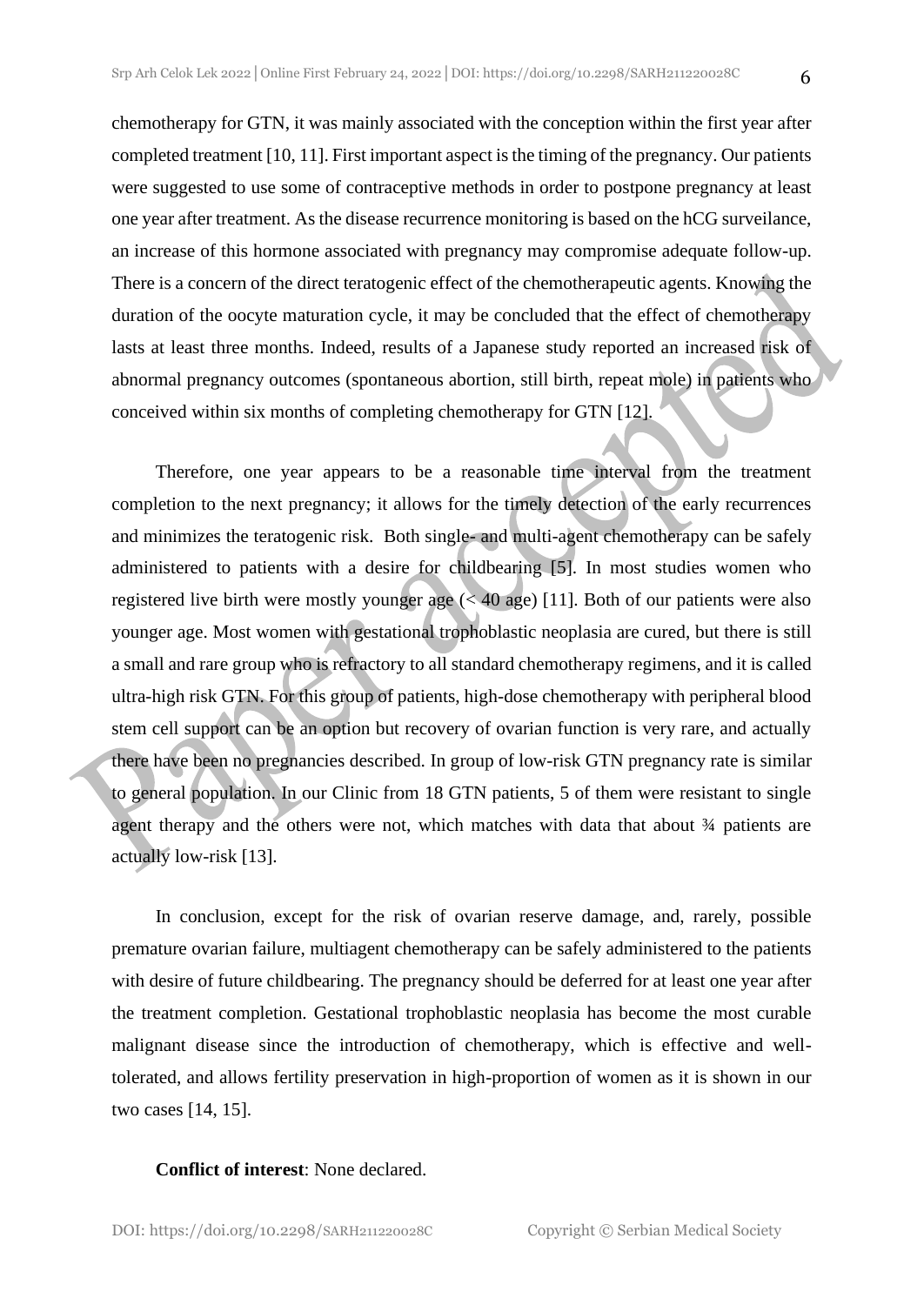chemotherapy for GTN, it was mainly associated with the conception within the first year after completed treatment [10, 11]. First important aspect is the timing of the pregnancy. Our patients were suggested to use some of contraceptive methods in order to postpone pregnancy at least one year after treatment. As the disease recurrence monitoring is based on the hCG surveilance, an increase of this hormone associated with pregnancy may compromise adequate follow-up. There is a concern of the direct teratogenic effect of the chemotherapeutic agents. Knowing the duration of the oocyte maturation cycle, it may be concluded that the effect of chemotherapy lasts at least three months. Indeed, results of a Japanese study reported an increased risk of abnormal pregnancy outcomes (spontaneous abortion, still birth, repeat mole) in patients who conceived within six months of completing chemotherapy for GTN [12].

Therefore, one year appears to be a reasonable time interval from the treatment completion to the next pregnancy; it allows for the timely detection of the early recurrences and minimizes the teratogenic risk. Both single- and multi-agent chemotherapy can be safely administered to patients with a desire for childbearing [5]. In most studies women who registered live birth were mostly younger age (< 40 age) [11]. Both of our patients were also younger age. Most women with gestational trophoblastic neoplasia are cured, but there is still a small and rare group who is refractory to all standard chemotherapy regimens, and it is called ultra-high risk GTN. For this group of patients, high-dose chemotherapy with peripheral blood stem cell support can be an option but recovery of ovarian function is very rare, and actually there have been no pregnancies described. In group of low-risk GTN pregnancy rate is similar to general population. In our Clinic from 18 GTN patients, 5 of them were resistant to single agent therapy and the others were not, which matches with data that about  $\frac{3}{4}$  patients are actually low-risk [13].

In conclusion, except for the risk of ovarian reserve damage, and, rarely, possible premature ovarian failure, multiagent chemotherapy can be safely administered to the patients with desire of future childbearing. The pregnancy should be deferred for at least one year after the treatment completion. Gestational trophoblastic neoplasia has become the most curable malignant disease since the introduction of chemotherapy, which is effective and welltolerated, and allows fertility preservation in high-proportion of women as it is shown in our two cases [14, 15].

#### **Conflict of interest**: None declared.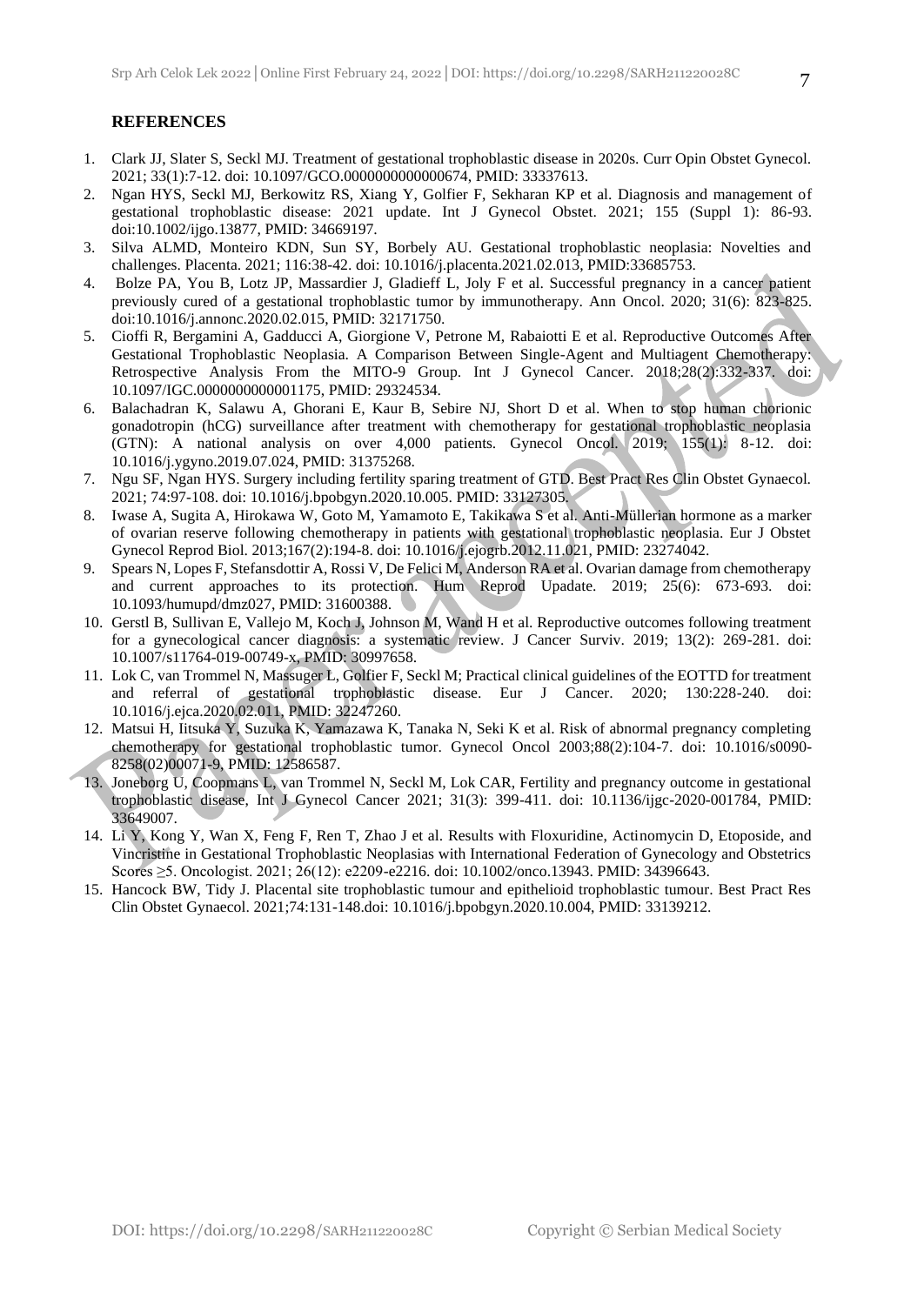#### **REFERENCES**

- 1. Clark JJ, Slater S, Seckl MJ. Treatment of gestational trophoblastic disease in 2020s. Curr Opin Obstet Gynecol. 2021; 33(1):7-12. doi: 10.1097/GCO.0000000000000674, PMID: 33337613.
- 2. Ngan HYS, Seckl MJ, Berkowitz RS, Xiang Y, Golfier F, Sekharan KP et al. Diagnosis and management of gestational trophoblastic disease: 2021 update. Int J Gynecol Obstet. 2021; 155 (Suppl 1): 86-93. doi:10.1002/ijgo.13877, PMID: 34669197.
- 3. Silva ALMD, Monteiro KDN, Sun SY, Borbely AU. Gestational trophoblastic neoplasia: Novelties and challenges. Placenta. 2021; 116:38-42. doi: 10.1016/j.placenta.2021.02.013, PMID:33685753.
- 4. Bolze PA, You B, Lotz JP, Massardier J, Gladieff L, Joly F et al. Successful pregnancy in a cancer patient previously cured of a gestational trophoblastic tumor by immunotherapy. Ann Oncol. 2020; 31(6): 823-825. doi:10.1016/j.annonc.2020.02.015, PMID: 32171750.
- 5. Cioffi R, Bergamini A, Gadducci A, Giorgione V, Petrone M, Rabaiotti E et al. Reproductive Outcomes After Gestational Trophoblastic Neoplasia. A Comparison Between Single-Agent and Multiagent Chemotherapy: Retrospective Analysis From the MITO-9 Group. Int J Gynecol Cancer. 2018;28(2):332-337. doi: 10.1097/IGC.0000000000001175, PMID: 29324534.
- 6. Balachadran K, Salawu A, Ghorani E, Kaur B, Sebire NJ, Short D et al. When to stop human chorionic gonadotropin (hCG) surveillance after treatment with chemotherapy for gestational trophoblastic neoplasia (GTN): A national analysis on over 4,000 patients. Gynecol Oncol. 2019; 155(1): 8-12. doi: 10.1016/j.ygyno.2019.07.024, PMID: 31375268.
- 7. Ngu SF, Ngan HYS. Surgery including fertility sparing treatment of GTD. Best Pract Res Clin Obstet Gynaecol. 2021; 74:97-108. doi: 10.1016/j.bpobgyn.2020.10.005. PMID: 33127305.
- 8. Iwase A, Sugita A, Hirokawa W, Goto M, Yamamoto E, Takikawa S et al. Anti-Müllerian hormone as a marker of ovarian reserve following chemotherapy in patients with gestational trophoblastic neoplasia. Eur J Obstet Gynecol Reprod Biol. 2013;167(2):194-8. doi: 10.1016/j.ejogrb.2012.11.021, PMID: 23274042.
- 9. Spears N, Lopes F, Stefansdottir A, Rossi V, De Felici M, Anderson RA et al. Ovarian damage from chemotherapy and current approaches to its protection. Hum Reprod Upadate. 2019; 25(6): 673-693. doi: 10.1093/humupd/dmz027, PMID: 31600388.
- 10. Gerstl B, Sullivan E, Vallejo M, Koch J, Johnson M, Wand H et al. Reproductive outcomes following treatment for a gynecological cancer diagnosis: a systematic review. J Cancer Surviv. 2019; 13(2): 269-281. doi: 10.1007/s11764-019-00749-x, PMID: 30997658.
- 11. Lok C, van Trommel N, Massuger L, Golfier F, Seckl M; Practical clinical guidelines of the EOTTD for treatment and referral of gestational trophoblastic disease. Eur J Cancer. 2020; 130:228-240. doi: 10.1016/j.ejca.2020.02.011, PMID: 32247260.
- 12. Matsui H, Iitsuka Y, Suzuka K, Yamazawa K, Tanaka N, Seki K et al. Risk of abnormal pregnancy completing chemotherapy for gestational trophoblastic tumor. Gynecol Oncol 2003;88(2):104-7. doi: 10.1016/s0090- 8258(02)00071-9, PMID: 12586587.
- 13. Joneborg U, Coopmans L, van Trommel N, Seckl M, Lok CAR, Fertility and pregnancy outcome in gestational trophoblastic disease, Int J Gynecol Cancer 2021; 31(3): 399-411. doi: 10.1136/ijgc-2020-001784, PMID: 33649007.
- 14. Li Y, Kong Y, Wan X, Feng F, Ren T, Zhao J et al. Results with Floxuridine, Actinomycin D, Etoposide, and Vincristine in Gestational Trophoblastic Neoplasias with International Federation of Gynecology and Obstetrics Scores ≥5. Oncologist. 2021; 26(12): e2209-e2216. doi: 10.1002/onco.13943. PMID: 34396643.
- 15. Hancock BW, Tidy J. Placental site trophoblastic tumour and epithelioid trophoblastic tumour. Best Pract Res Clin Obstet Gynaecol. 2021;74:131-148.doi: 10.1016/j.bpobgyn.2020.10.004, PMID: 33139212.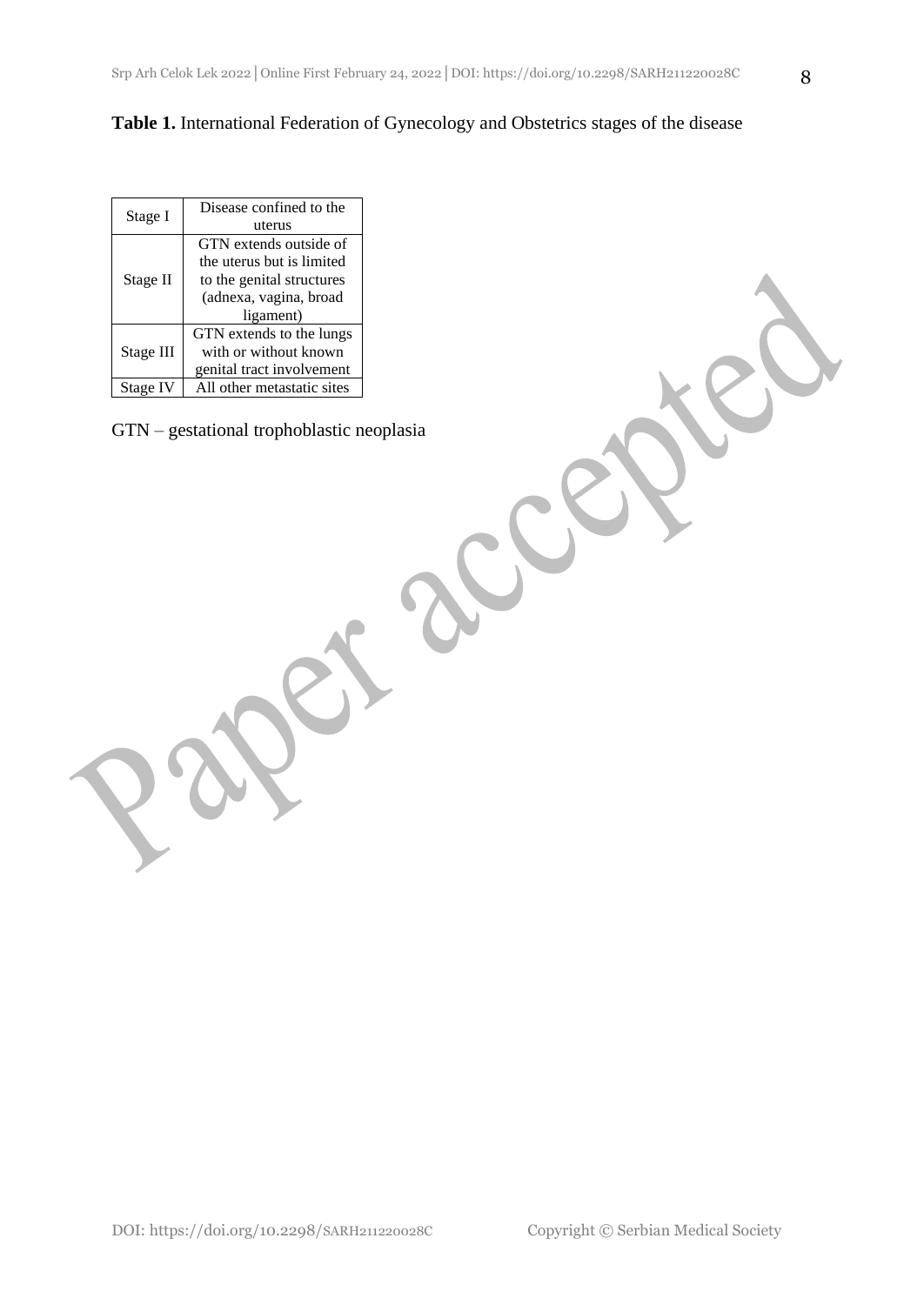**Table 1.** International Federation of Gynecology and Obstetrics stages of the disease

| Stage I   | Disease confined to the    |  |  |
|-----------|----------------------------|--|--|
|           | uterus                     |  |  |
| Stage II  | GTN extends outside of     |  |  |
|           | the uterus but is limited  |  |  |
|           | to the genital structures  |  |  |
|           | (adnexa, vagina, broad     |  |  |
|           | ligament)                  |  |  |
| Stage III | GTN extends to the lungs   |  |  |
|           | with or without known      |  |  |
|           | genital tract involvement  |  |  |
| Stage IV  | All other metastatic sites |  |  |

GTN – gestational trophoblastic neoplasia